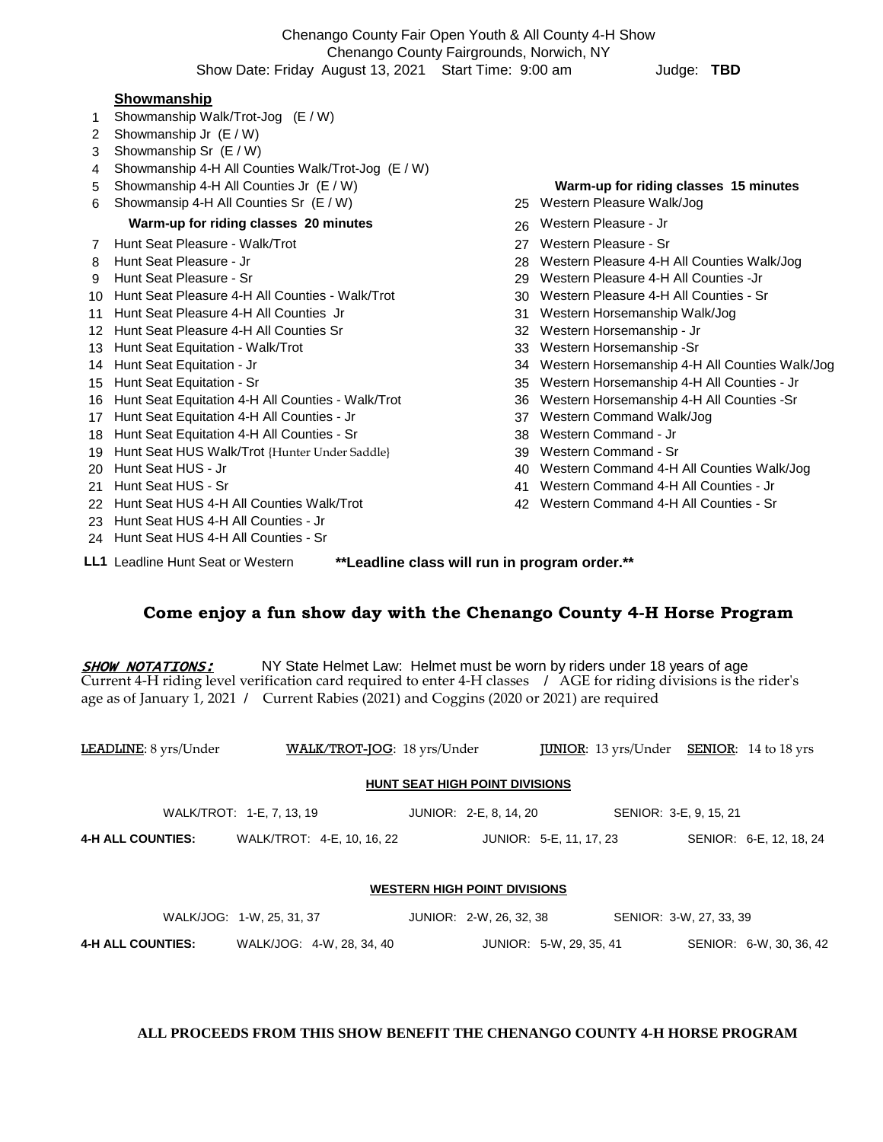Chenango County Fair Open Youth & All County 4-H Show Chenango County Fairgrounds, Norwich, NY Show Date: Friday August 13, 2021 Start Time: 9:00 am Judge: **TBD** 

#### **Showmanship**

- 1 Showmanship Walk/Trot-Jog (E / W)
- 2 Showmanship Jr (E / W)
- 3 Showmanship Sr (E / W)
- 4 Showmanship 4-H All Counties Walk/Trot-Jog (E / W)
- 
- 6 Showmansip 4-H All Counties Sr (E / W) 25 Western Pleasure Walk/Jog

### **Warm-up for riding classes 20 minutes** 20 **26 Western Pleasure - Jr**

- 7 Hunt Seat Pleasure Walk/Trot 27 Western Pleasure Sr
- 
- 
- 10 Hunt Seat Pleasure 4-H All Counties Walk/Trot 30 Western Pleasure 4-H All Counties Sr
- 11 Hunt Seat Pleasure 4-H All Counties Jr 31 Western Horsemanship Walk/Jog
- 12 Hunt Seat Pleasure 4-H All Counties Sr 32 Western Horsemanship Jr
- 
- 
- 
- 16 Hunt Seat Equitation 4-H All Counties Walk/Trot 36 Western Horsemanship 4-H All Counties -Sr
- 17 Hunt Seat Equitation 4-H All Counties Jr 37 Western Command Walk/Jog
- 18 Hunt Seat Equitation 4-H All Counties Sr 38 Western Command Jr
- 19 Hunt Seat HUS Walk/Trot {Hunter Under Saddle} 39 Western Command Sr
- 
- 
- 22 Hunt Seat HUS 4-H All Counties Walk/Trot 42 Western Command 4-H All Counties Sr
- 23 Hunt Seat HUS 4-H All Counties Jr
- 24 Hunt Seat HUS 4-H All Counties Sr
- 
- 5 Showmanship 4-H All Counties Jr (E / W) **Warm-up for riding classes 15 minutes**
	-
	-
	-
- 8 Hunt Seat Pleasure Jr 28 Western Pleasure 4-H All Counties Walk/Jog
- 9 Hunt Seat Pleasure Sr 29 Western Pleasure 4-H All Counties -Jr
	-
	-
	-
- 13 Hunt Seat Equitation Walk/Trot 33 Western Horsemanship -Sr
- 14 Hunt Seat Equitation Jr 34 Western Horsemanship 4-H All Counties Walk/Jog
- 15 Hunt Seat Equitation Sr 35 Western Horsemanship 4-H All Counties Jr
	-
	-
	-
	-
- 20 Hunt Seat HUS Jr 40 Western Command 4-H All Counties Walk/Jog
- 21 Hunt Seat HUS Sr 41 Western Command 4-H All Counties Jr
	-

**LL1** Leadline Hunt Seat or Western **\*\*Leadline class will run in program order.\*\***

## **Come enjoy a fun show day with the Chenango County 4-H Horse Program**

**SHOW NOTATIONS:** NY State Helmet Law: Helmet must be worn by riders under 18 years of age Current 4-H riding level verification card required to enter 4-H classes **/** AGE for riding divisions is the rider's age as of January 1, 2021 **/** Current Rabies (2021) and Coggins (2020 or 2021) are required

| LEADLINE: 8 yrs/Under                 | WALK/TROT-JOG: 18 yrs/Under |  |                         |                         | <b>IUNIOR:</b> 13 yrs/Under <b>SENIOR:</b> 14 to 18 yrs |                         |                         |  |  |  |  |
|---------------------------------------|-----------------------------|--|-------------------------|-------------------------|---------------------------------------------------------|-------------------------|-------------------------|--|--|--|--|
| <b>HUNT SEAT HIGH POINT DIVISIONS</b> |                             |  |                         |                         |                                                         |                         |                         |  |  |  |  |
| WALK/TROT: 1-E, 7, 13, 19             |                             |  | JUNIOR: 2-E, 8, 14, 20  |                         | SENIOR: 3-E, 9, 15, 21                                  |                         |                         |  |  |  |  |
| <b>4-H ALL COUNTIES:</b>              | WALK/TROT: 4-E, 10, 16, 22  |  | JUNIOR: 5-E, 11, 17, 23 |                         |                                                         |                         | SENIOR: 6-E, 12, 18, 24 |  |  |  |  |
|                                       |                             |  |                         |                         |                                                         |                         |                         |  |  |  |  |
| <b>WESTERN HIGH POINT DIVISIONS</b>   |                             |  |                         |                         |                                                         |                         |                         |  |  |  |  |
|                                       | WALK/JOG: 1-W, 25, 31, 37   |  | JUNIOR: 2-W. 26, 32, 38 |                         |                                                         | SENIOR: 3-W, 27, 33, 39 |                         |  |  |  |  |
| <b>4-H ALL COUNTIES:</b>              | WALK/JOG: 4-W, 28, 34, 40   |  |                         | JUNIOR: 5-W, 29, 35, 41 |                                                         |                         | SENIOR: 6-W, 30, 36, 42 |  |  |  |  |

#### **ALL PROCEEDS FROM THIS SHOW BENEFIT THE CHENANGO COUNTY 4-H HORSE PROGRAM**